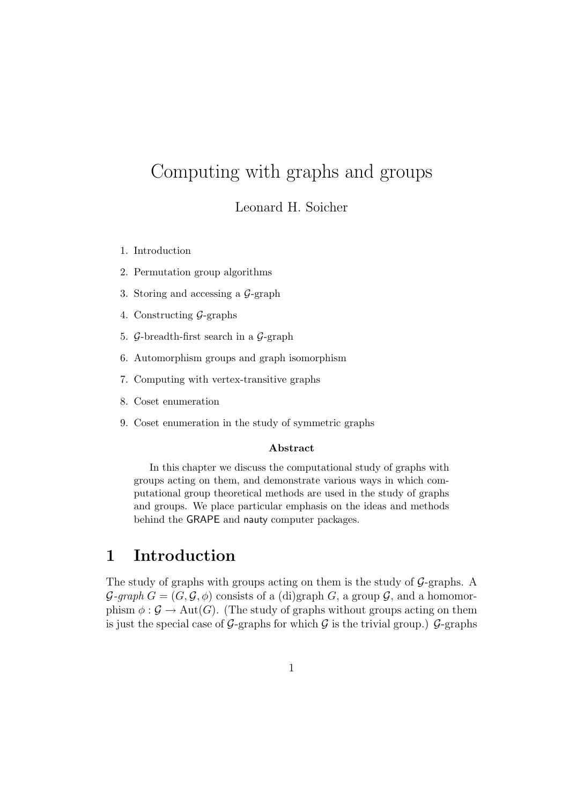# Computing with graphs and groups

Leonard H. Soicher

- 1. Introduction
- 2. Permutation group algorithms
- 3. Storing and accessing a G-graph
- 4. Constructing G-graphs
- 5. G-breadth-first search in a G-graph
- 6. Automorphism groups and graph isomorphism
- 7. Computing with vertex-transitive graphs
- 8. Coset enumeration
- 9. Coset enumeration in the study of symmetric graphs

#### Abstract

In this chapter we discuss the computational study of graphs with groups acting on them, and demonstrate various ways in which computational group theoretical methods are used in the study of graphs and groups. We place particular emphasis on the ideas and methods behind the GRAPE and nauty computer packages.

## 1 Introduction

The study of graphs with groups acting on them is the study of  $\mathcal{G}$ -graphs. A  $\mathcal{G}\text{-}graph\ G = (G, \mathcal{G}, \phi)$  consists of a (di)graph G, a group  $\mathcal{G}$ , and a homomorphism  $\phi : \mathcal{G} \to \text{Aut}(G)$ . (The study of graphs without groups acting on them is just the special case of G-graphs for which G is the trivial group.) G-graphs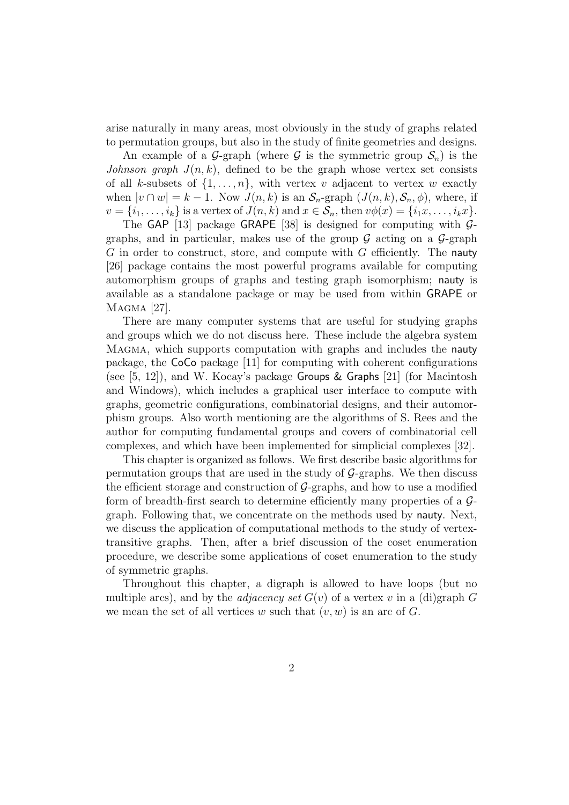arise naturally in many areas, most obviously in the study of graphs related to permutation groups, but also in the study of finite geometries and designs.

An example of a G-graph (where G is the symmetric group  $S_n$ ) is the Johnson graph  $J(n, k)$ , defined to be the graph whose vertex set consists of all k-subsets of  $\{1, \ldots, n\}$ , with vertex v adjacent to vertex w exactly when  $|v \cap w| = k - 1$ . Now  $J(n, k)$  is an  $S_n$ -graph  $(J(n, k), S_n, \phi)$ , where, if  $v = \{i_1, \ldots, i_k\}$  is a vertex of  $J(n, k)$  and  $x \in S_n$ , then  $v\phi(x) = \{i_1x, \ldots, i_kx\}$ .

The GAP [13] package GRAPE [38] is designed for computing with  $\mathcal{G}$ graphs, and in particular, makes use of the group  $\mathcal G$  acting on a  $\mathcal G$ -graph  $G$  in order to construct, store, and compute with  $G$  efficiently. The nauty [26] package contains the most powerful programs available for computing automorphism groups of graphs and testing graph isomorphism; nauty is available as a standalone package or may be used from within GRAPE or Magma [27].

There are many computer systems that are useful for studying graphs and groups which we do not discuss here. These include the algebra system Magma, which supports computation with graphs and includes the nauty package, the CoCo package [11] for computing with coherent configurations (see  $[5, 12]$ ), and W. Kocay's package Groups & Graphs  $[21]$  (for Macintosh and Windows), which includes a graphical user interface to compute with graphs, geometric configurations, combinatorial designs, and their automorphism groups. Also worth mentioning are the algorithms of S. Rees and the author for computing fundamental groups and covers of combinatorial cell complexes, and which have been implemented for simplicial complexes [32].

This chapter is organized as follows. We first describe basic algorithms for permutation groups that are used in the study of  $\mathcal{G}$ -graphs. We then discuss the efficient storage and construction of  $G$ -graphs, and how to use a modified form of breadth-first search to determine efficiently many properties of a Ggraph. Following that, we concentrate on the methods used by nauty. Next, we discuss the application of computational methods to the study of vertextransitive graphs. Then, after a brief discussion of the coset enumeration procedure, we describe some applications of coset enumeration to the study of symmetric graphs.

Throughout this chapter, a digraph is allowed to have loops (but no multiple arcs), and by the *adjacency set*  $G(v)$  of a vertex v in a (di)graph G we mean the set of all vertices w such that  $(v, w)$  is an arc of G.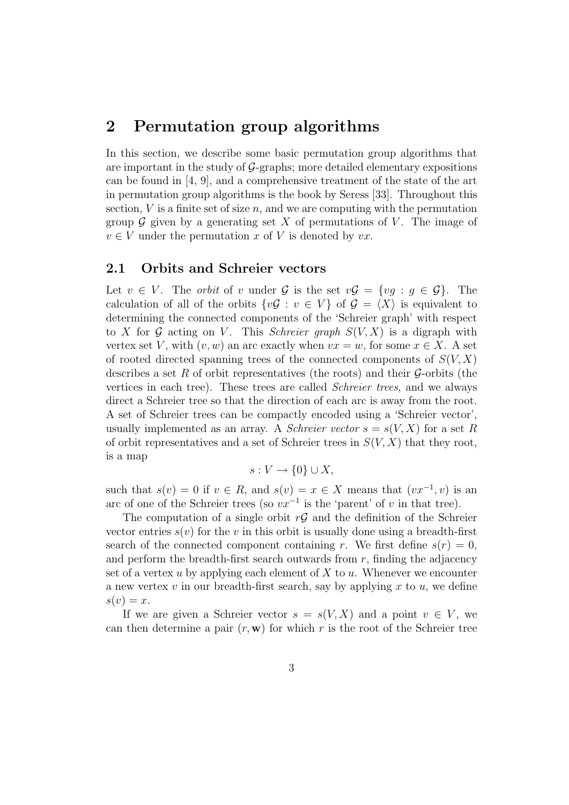## 2 Permutation group algorithms

In this section, we describe some basic permutation group algorithms that are important in the study of  $G$ -graphs; more detailed elementary expositions can be found in [4, 9], and a comprehensive treatment of the state of the art in permutation group algorithms is the book by Seress [33]. Throughout this section,  $V$  is a finite set of size  $n$ , and we are computing with the permutation group  $\mathcal G$  given by a generating set X of permutations of V. The image of  $v \in V$  under the permutation x of V is denoted by  $vx$ .

### 2.1 Orbits and Schreier vectors

Let  $v \in V$ . The *orbit* of v under  $\mathcal G$  is the set  $v\mathcal G = \{vq : q \in \mathcal G\}$ . The calculation of all of the orbits  $\{v\mathcal{G}: v \in V\}$  of  $\mathcal{G} = \langle X \rangle$  is equivalent to determining the connected components of the 'Schreier graph' with respect to X for G acting on V. This Schreier graph  $S(V, X)$  is a digraph with vertex set V, with  $(v, w)$  an arc exactly when  $vx = w$ , for some  $x \in X$ . A set of rooted directed spanning trees of the connected components of  $S(V, X)$ describes a set R of orbit representatives (the roots) and their  $\mathcal{G}$ -orbits (the vertices in each tree). These trees are called Schreier trees, and we always direct a Schreier tree so that the direction of each arc is away from the root. A set of Schreier trees can be compactly encoded using a 'Schreier vector', usually implemented as an array. A Schreier vector  $s = s(V, X)$  for a set R of orbit representatives and a set of Schreier trees in  $S(V, X)$  that they root, is a map

$$
s: V \to \{0\} \cup X,
$$

such that  $s(v) = 0$  if  $v \in R$ , and  $s(v) = x \in X$  means that  $(vx^{-1}, v)$  is an arc of one of the Schreier trees (so  $vx^{-1}$  is the 'parent' of v in that tree).

The computation of a single orbit  $r\mathcal{G}$  and the definition of the Schreier vector entries  $s(v)$  for the v in this orbit is usually done using a breadth-first search of the connected component containing r. We first define  $s(r) = 0$ , and perform the breadth-first search outwards from  $r$ , finding the adjacency set of a vertex u by applying each element of  $X$  to  $u$ . Whenever we encounter a new vertex  $v$  in our breadth-first search, say by applying  $x$  to  $u$ , we define  $s(v) = x$ .

If we are given a Schreier vector  $s = s(V, X)$  and a point  $v \in V$ , we can then determine a pair  $(r, \mathbf{w})$  for which r is the root of the Schreier tree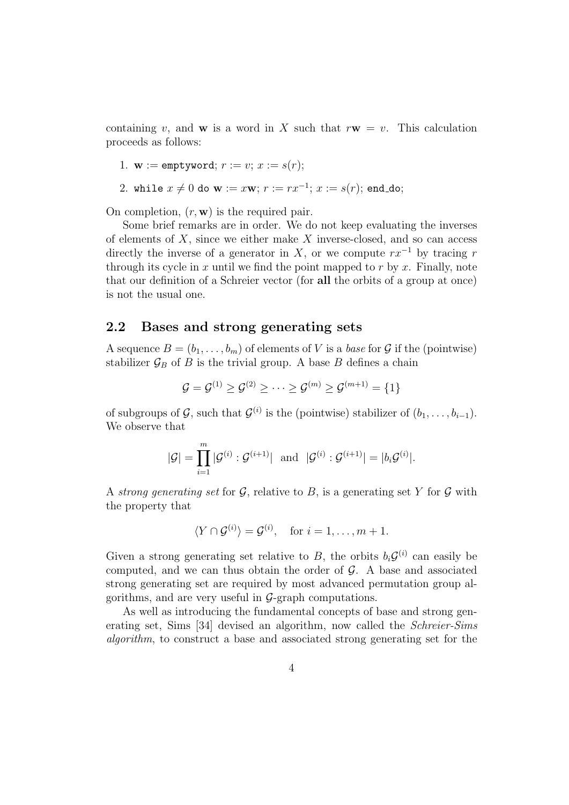containing v, and w is a word in X such that  $r\mathbf{w} = v$ . This calculation proceeds as follows:

1. **w** := 
$$
\text{emptyword}
$$
;  $r := v$ ;  $x := s(r)$ ;

2. while 
$$
x \neq 0
$$
 do **w** :=  $x$ **w**;  $r := rx^{-1}$ ;  $x := s(r)$ ; end-do;

On completion,  $(r, \mathbf{w})$  is the required pair.

Some brief remarks are in order. We do not keep evaluating the inverses of elements of  $X$ , since we either make  $X$  inverse-closed, and so can access directly the inverse of a generator in X, or we compute  $rx^{-1}$  by tracing r through its cycle in x until we find the point mapped to  $r$  by  $x$ . Finally, note that our definition of a Schreier vector (for all the orbits of a group at once) is not the usual one.

#### 2.2 Bases and strong generating sets

A sequence  $B = (b_1, \ldots, b_m)$  of elements of V is a base for G if the (pointwise) stabilizer  $\mathcal{G}_B$  of B is the trivial group. A base B defines a chain

$$
\mathcal{G} = \mathcal{G}^{(1)} \geq \mathcal{G}^{(2)} \geq \cdots \geq \mathcal{G}^{(m)} \geq \mathcal{G}^{(m+1)} = \{1\}
$$

of subgroups of  $\mathcal{G}$ , such that  $\mathcal{G}^{(i)}$  is the (pointwise) stabilizer of  $(b_1, \ldots, b_{i-1})$ . We observe that

$$
|\mathcal{G}| = \prod_{i=1}^m |\mathcal{G}^{(i)} : \mathcal{G}^{(i+1)}| \text{ and } |\mathcal{G}^{(i)} : \mathcal{G}^{(i+1)}| = |b_i \mathcal{G}^{(i)}|.
$$

A strong generating set for  $\mathcal{G}$ , relative to  $B$ , is a generating set Y for  $\mathcal{G}$  with the property that

$$
\langle Y \cap \mathcal{G}^{(i)} \rangle = \mathcal{G}^{(i)}, \quad \text{for } i = 1, \dots, m+1.
$$

Given a strong generating set relative to B, the orbits  $b_i \mathcal{G}^{(i)}$  can easily be computed, and we can thus obtain the order of  $\mathcal{G}$ . A base and associated strong generating set are required by most advanced permutation group algorithms, and are very useful in  $\mathcal{G}$ -graph computations.

As well as introducing the fundamental concepts of base and strong generating set, Sims [34] devised an algorithm, now called the Schreier-Sims algorithm, to construct a base and associated strong generating set for the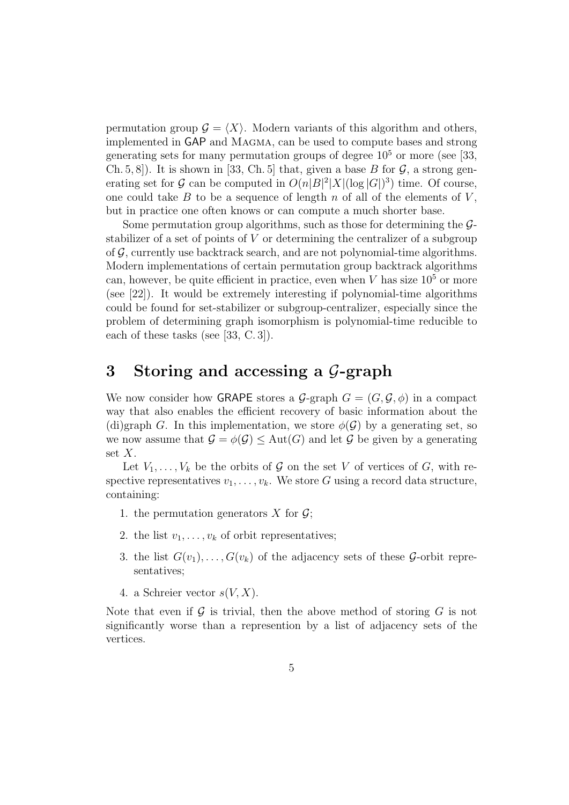permutation group  $\mathcal{G} = \langle X \rangle$ . Modern variants of this algorithm and others, implemented in GAP and Magma, can be used to compute bases and strong generating sets for many permutation groups of degree  $10^5$  or more (see [33, Ch. 5, 8.]. It is shown in [33, Ch. 5] that, given a base B for  $\mathcal{G}$ , a strong generating set for G can be computed in  $O(n|B|^2|X|(\log|G|)^3)$  time. Of course, one could take B to be a sequence of length n of all of the elements of  $V$ , but in practice one often knows or can compute a much shorter base.

Some permutation group algorithms, such as those for determining the  $\mathcal{G}$ stabilizer of a set of points of V or determining the centralizer of a subgroup of  $\mathcal G$ , currently use backtrack search, and are not polynomial-time algorithms. Modern implementations of certain permutation group backtrack algorithms can, however, be quite efficient in practice, even when V has size  $10<sup>5</sup>$  or more (see [22]). It would be extremely interesting if polynomial-time algorithms could be found for set-stabilizer or subgroup-centralizer, especially since the problem of determining graph isomorphism is polynomial-time reducible to each of these tasks (see [33, C. 3]).

## 3 Storing and accessing a  $\mathcal{G}$ -graph

We now consider how **GRAPE** stores a  $\mathcal{G}$ -graph  $G = (G, \mathcal{G}, \phi)$  in a compact way that also enables the efficient recovery of basic information about the (di)graph G. In this implementation, we store  $\phi(\mathcal{G})$  by a generating set, so we now assume that  $\mathcal{G} = \phi(\mathcal{G}) \leq \text{Aut}(G)$  and let  $\mathcal{G}$  be given by a generating set  $X$ .

Let  $V_1, \ldots, V_k$  be the orbits of  $\mathcal G$  on the set V of vertices of  $G$ , with respective representatives  $v_1, \ldots, v_k$ . We store G using a record data structure, containing:

- 1. the permutation generators X for  $\mathcal{G}$ ;
- 2. the list  $v_1, \ldots, v_k$  of orbit representatives;
- 3. the list  $G(v_1), \ldots, G(v_k)$  of the adjacency sets of these  $\mathcal{G}\text{-orbit repre}$ sentatives;
- 4. a Schreier vector  $s(V, X)$ .

Note that even if  $\mathcal G$  is trivial, then the above method of storing  $G$  is not significantly worse than a represention by a list of adjacency sets of the vertices.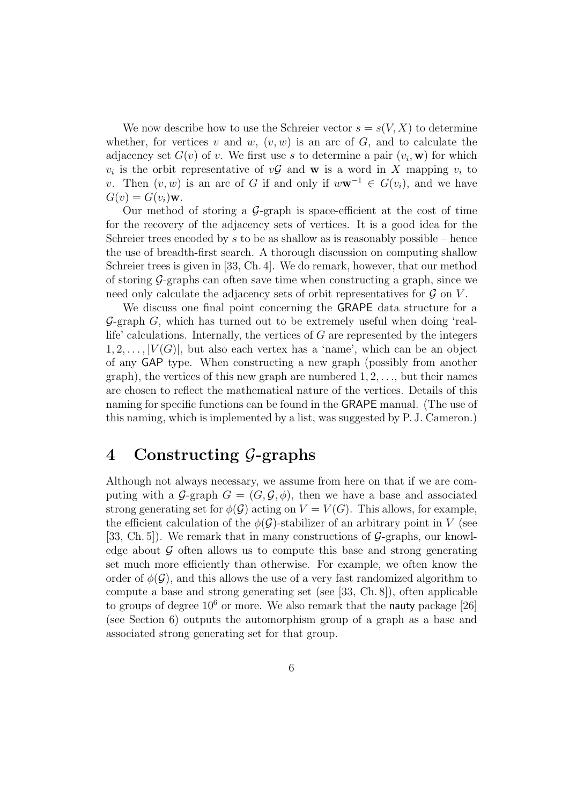We now describe how to use the Schreier vector  $s = s(V, X)$  to determine whether, for vertices v and w,  $(v, w)$  is an arc of G, and to calculate the adjacency set  $G(v)$  of v. We first use s to determine a pair  $(v_i, \mathbf{w})$  for which  $v_i$  is the orbit representative of  $v\mathcal{G}$  and **w** is a word in X mapping  $v_i$  to v. Then  $(v, w)$  is an arc of G if and only if  $w\mathbf{w}^{-1} \in G(v_i)$ , and we have  $G(v) = G(v_i)$ w.

Our method of storing a  $\mathcal{G}$ -graph is space-efficient at the cost of time for the recovery of the adjacency sets of vertices. It is a good idea for the Schreier trees encoded by s to be as shallow as is reasonably possible – hence the use of breadth-first search. A thorough discussion on computing shallow Schreier trees is given in [33, Ch. 4]. We do remark, however, that our method of storing  $\mathcal{G}$ -graphs can often save time when constructing a graph, since we need only calculate the adjacency sets of orbit representatives for  $\mathcal G$  on  $V$ .

We discuss one final point concerning the GRAPE data structure for a  $\mathcal{G}\text{-graph }G$ , which has turned out to be extremely useful when doing 'reallife' calculations. Internally, the vertices of  $G$  are represented by the integers  $1, 2, \ldots, |V(G)|$ , but also each vertex has a 'name', which can be an object of any GAP type. When constructing a new graph (possibly from another graph), the vertices of this new graph are numbered  $1, 2, \ldots$ , but their names are chosen to reflect the mathematical nature of the vertices. Details of this naming for specific functions can be found in the GRAPE manual. (The use of this naming, which is implemented by a list, was suggested by P. J. Cameron.)

### 4 Constructing G-graphs

Although not always necessary, we assume from here on that if we are computing with a G-graph  $G = (G, \mathcal{G}, \phi)$ , then we have a base and associated strong generating set for  $\phi(\mathcal{G})$  acting on  $V = V(G)$ . This allows, for example, the efficient calculation of the  $\phi(\mathcal{G})$ -stabilizer of an arbitrary point in V (see [33, Ch. 5]). We remark that in many constructions of  $\mathcal{G}$ -graphs, our knowledge about  $\mathcal G$  often allows us to compute this base and strong generating set much more efficiently than otherwise. For example, we often know the order of  $\phi(\mathcal{G})$ , and this allows the use of a very fast randomized algorithm to compute a base and strong generating set (see [33, Ch. 8]), often applicable to groups of degree  $10^6$  or more. We also remark that the nauty package [26] (see Section 6) outputs the automorphism group of a graph as a base and associated strong generating set for that group.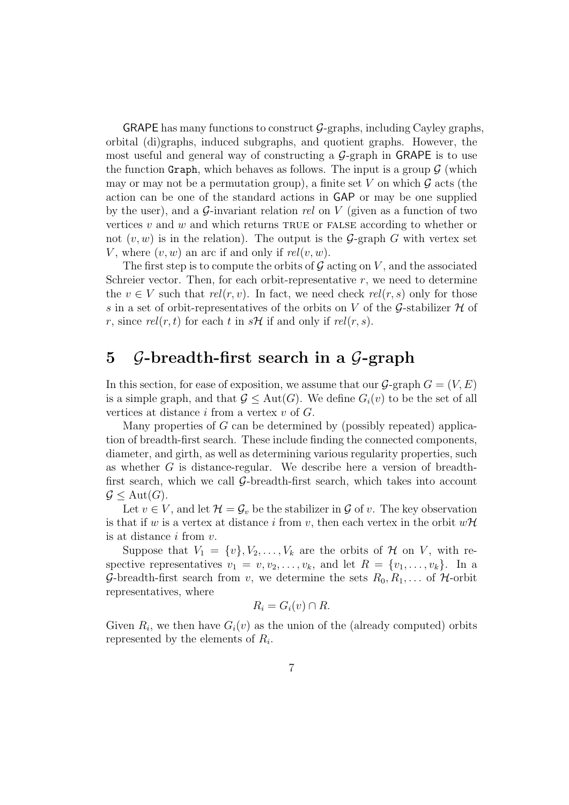**GRAPE** has many functions to construct  $\mathcal{G}$ -graphs, including Cayley graphs, orbital (di)graphs, induced subgraphs, and quotient graphs. However, the most useful and general way of constructing a  $\mathcal{G}$ -graph in GRAPE is to use the function Graph, which behaves as follows. The input is a group  $\mathcal G$  (which may or may not be a permutation group), a finite set V on which  $\mathcal G$  acts (the action can be one of the standard actions in GAP or may be one supplied by the user), and a  $\mathcal{G}$ -invariant relation rel on V (given as a function of two vertices  $v$  and  $w$  and which returns TRUE or FALSE according to whether or not  $(v, w)$  is in the relation). The output is the G-graph G with vertex set V, where  $(v, w)$  an arc if and only if  $rel(v, w)$ .

The first step is to compute the orbits of  $\mathcal G$  acting on  $V$ , and the associated Schreier vector. Then, for each orbit-representative  $r$ , we need to determine the  $v \in V$  such that  $rel(r, v)$ . In fact, we need check  $rel(r, s)$  only for those s in a set of orbit-representatives of the orbits on  $V$  of the  $\mathcal G$ -stabilizer  $\mathcal H$  of r, since  $rel(r, t)$  for each t in  $sH$  if and only if  $rel(r, s)$ .

## 5 G-breadth-first search in a G-graph

In this section, for ease of exposition, we assume that our  $\mathcal{G}$ -graph  $G = (V, E)$ is a simple graph, and that  $\mathcal{G} \leq \text{Aut}(G)$ . We define  $G_i(v)$  to be the set of all vertices at distance  $i$  from a vertex  $v$  of  $G$ .

Many properties of  $G$  can be determined by (possibly repeated) application of breadth-first search. These include finding the connected components, diameter, and girth, as well as determining various regularity properties, such as whether G is distance-regular. We describe here a version of breadthfirst search, which we call  $G$ -breadth-first search, which takes into account  $\mathcal{G} \leq \text{Aut}(G).$ 

Let  $v \in V$ , and let  $\mathcal{H} = \mathcal{G}_v$  be the stabilizer in  $\mathcal G$  of  $v$ . The key observation is that if w is a vertex at distance i from v, then each vertex in the orbit  $w\mathcal{H}$ is at distance  $i$  from  $v$ .

Suppose that  $V_1 = \{v\}, V_2, \ldots, V_k$  are the orbits of H on V, with respective representatives  $v_1 = v, v_2, \ldots, v_k$ , and let  $R = \{v_1, \ldots, v_k\}$ . In a G-breadth-first search from v, we determine the sets  $R_0, R_1, \ldots$  of H-orbit representatives, where

$$
R_i = G_i(v) \cap R.
$$

Given  $R_i$ , we then have  $G_i(v)$  as the union of the (already computed) orbits represented by the elements of  $R_i$ .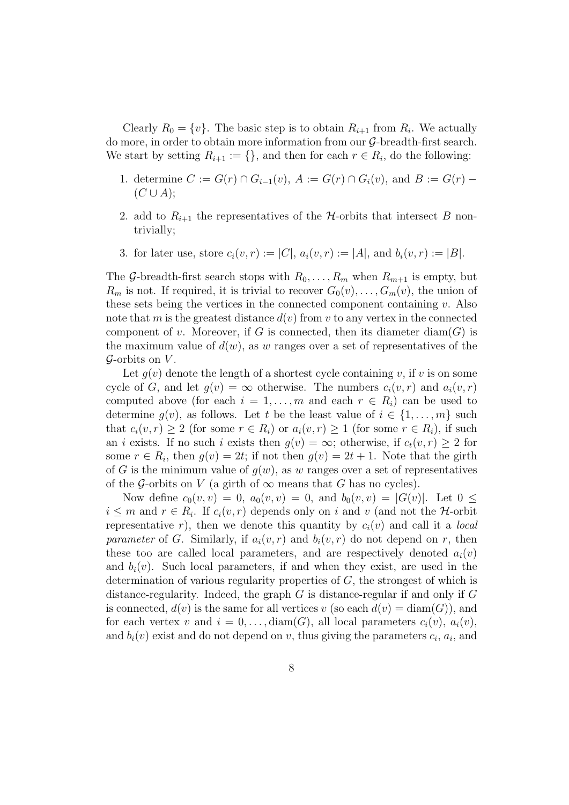Clearly  $R_0 = \{v\}$ . The basic step is to obtain  $R_{i+1}$  from  $R_i$ . We actually do more, in order to obtain more information from our G-breadth-first search. We start by setting  $R_{i+1} := \{\}$ , and then for each  $r \in R_i$ , do the following:

- 1. determine  $C := G(r) \cap G_{i-1}(v)$ ,  $A := G(r) \cap G_i(v)$ , and  $B := G(r)$  $(C \cup A);$
- 2. add to  $R_{i+1}$  the representatives of the  $H$ -orbits that intersect B nontrivially;
- 3. for later use, store  $c_i(v, r) := |C|$ ,  $a_i(v, r) := |A|$ , and  $b_i(v, r) := |B|$ .

The G-breadth-first search stops with  $R_0, \ldots, R_m$  when  $R_{m+1}$  is empty, but  $R_m$  is not. If required, it is trivial to recover  $G_0(v), \ldots, G_m(v)$ , the union of these sets being the vertices in the connected component containing  $v$ . Also note that m is the greatest distance  $d(v)$  from v to any vertex in the connected component of v. Moreover, if G is connected, then its diameter  $\text{diam}(G)$  is the maximum value of  $d(w)$ , as w ranges over a set of representatives of the  $\mathcal G$ -orbits on  $V$ .

Let  $g(v)$  denote the length of a shortest cycle containing v, if v is on some cycle of G, and let  $g(v) = \infty$  otherwise. The numbers  $c_i(v, r)$  and  $a_i(v, r)$ computed above (for each  $i = 1, \ldots, m$  and each  $r \in R_i$ ) can be used to determine  $g(v)$ , as follows. Let t be the least value of  $i \in \{1, \ldots, m\}$  such that  $c_i(v, r) \ge 2$  (for some  $r \in R_i$ ) or  $a_i(v, r) \ge 1$  (for some  $r \in R_i$ ), if such an *i* exists. If no such *i* exists then  $g(v) = \infty$ ; otherwise, if  $c_t(v, r) \geq 2$  for some  $r \in R_i$ , then  $g(v) = 2t$ ; if not then  $g(v) = 2t + 1$ . Note that the girth of G is the minimum value of  $q(w)$ , as w ranges over a set of representatives of the G-orbits on V (a girth of  $\infty$  means that G has no cycles).

Now define  $c_0(v, v) = 0$ ,  $a_0(v, v) = 0$ , and  $b_0(v, v) = |G(v)|$ . Let  $0 \le$  $i \leq m$  and  $r \in R_i$ . If  $c_i(v,r)$  depends only on i and v (and not the H-orbit representative r), then we denote this quantity by  $c_i(v)$  and call it a *local* parameter of G. Similarly, if  $a_i(v, r)$  and  $b_i(v, r)$  do not depend on r, then these too are called local parameters, and are respectively denoted  $a_i(v)$ and  $b_i(v)$ . Such local parameters, if and when they exist, are used in the determination of various regularity properties of G, the strongest of which is distance-regularity. Indeed, the graph  $G$  is distance-regular if and only if  $G$ is connected,  $d(v)$  is the same for all vertices v (so each  $d(v) = \text{diam}(G)$ ), and for each vertex v and  $i = 0, \ldots$ , diam(G), all local parameters  $c_i(v)$ ,  $a_i(v)$ , and  $b_i(v)$  exist and do not depend on v, thus giving the parameters  $c_i$ ,  $a_i$ , and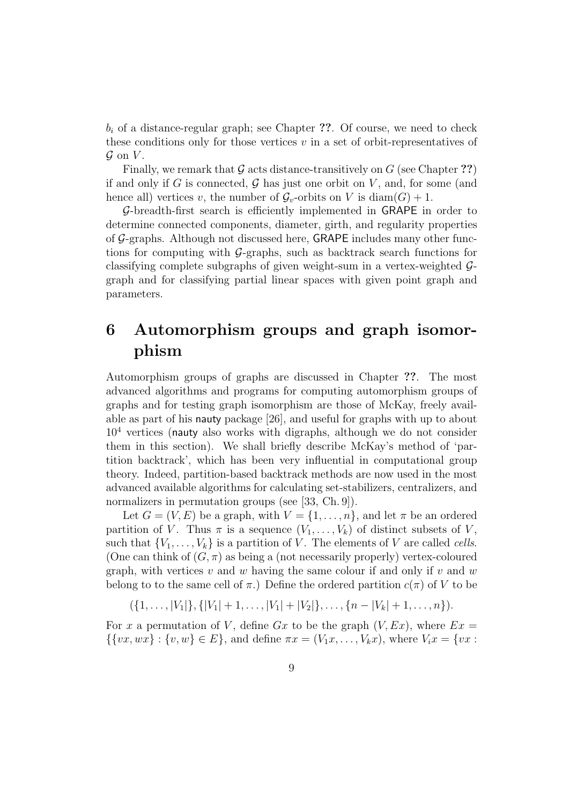$b_i$  of a distance-regular graph; see Chapter ??. Of course, we need to check these conditions only for those vertices  $v$  in a set of orbit-representatives of  $\mathcal G$  on  $V$ .

Finally, we remark that  $\mathcal G$  acts distance-transitively on  $G$  (see Chapter ??) if and only if G is connected,  $\mathcal G$  has just one orbit on V, and, for some (and hence all) vertices v, the number of  $\mathcal{G}_v$ -orbits on V is diam(G) + 1.

G-breadth-first search is efficiently implemented in GRAPE in order to determine connected components, diameter, girth, and regularity properties of G-graphs. Although not discussed here, GRAPE includes many other functions for computing with  $\mathcal{G}$ -graphs, such as backtrack search functions for classifying complete subgraphs of given weight-sum in a vertex-weighted Ggraph and for classifying partial linear spaces with given point graph and parameters.

## 6 Automorphism groups and graph isomorphism

Automorphism groups of graphs are discussed in Chapter ??. The most advanced algorithms and programs for computing automorphism groups of graphs and for testing graph isomorphism are those of McKay, freely available as part of his nauty package [26], and useful for graphs with up to about  $10<sup>4</sup>$  vertices (nauty also works with digraphs, although we do not consider them in this section). We shall briefly describe McKay's method of 'partition backtrack', which has been very influential in computational group theory. Indeed, partition-based backtrack methods are now used in the most advanced available algorithms for calculating set-stabilizers, centralizers, and normalizers in permutation groups (see [33, Ch. 9]).

Let  $G = (V, E)$  be a graph, with  $V = \{1, \ldots, n\}$ , and let  $\pi$  be an ordered partition of V. Thus  $\pi$  is a sequence  $(V_1, \ldots, V_k)$  of distinct subsets of V, such that  $\{V_1, \ldots, V_k\}$  is a partition of V. The elements of V are called *cells*. (One can think of  $(G, \pi)$  as being a (not necessarily properly) vertex-coloured graph, with vertices v and w having the same colour if and only if v and w belong to to the same cell of  $\pi$ .) Define the ordered partition  $c(\pi)$  of V to be

 $({1, \ldots, |V_1|}, {|V_1| + 1, \ldots, |V_1| + |V_2|}, \ldots, {n - |V_k| + 1, \ldots, n}).$ 

For x a permutation of V, define Gx to be the graph  $(V, Ex)$ , where  $Ex =$  $\{ \{vx, wx\} : \{v, w\} \in E \},$  and define  $\pi x = (V_1x, \ldots, V_kx)$ , where  $V_ix = \{vx :$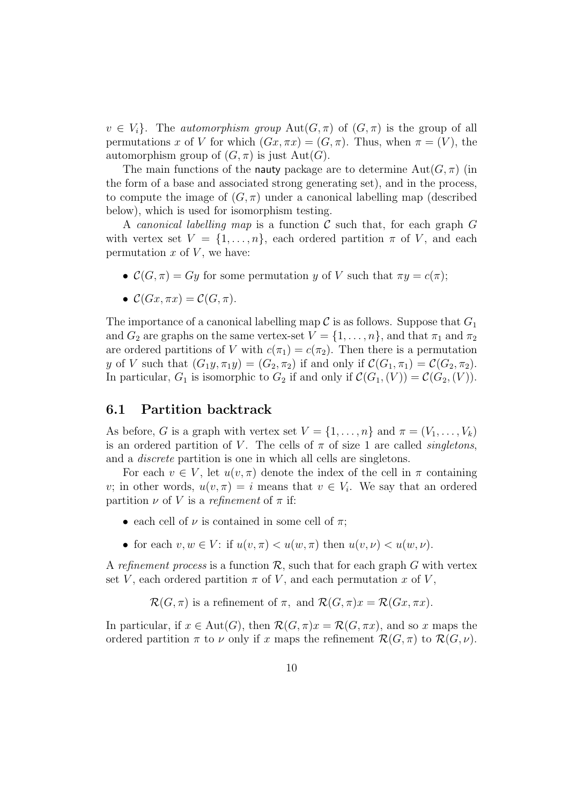$v \in V_i$ . The *automorphism group*  $Aut(G, \pi)$  of  $(G, \pi)$  is the group of all permutations x of V for which  $(Gx, \pi x) = (G, \pi)$ . Thus, when  $\pi = (V)$ , the automorphism group of  $(G, \pi)$  is just  $Aut(G)$ .

The main functions of the nauty package are to determine  $Aut(G, \pi)$  (in the form of a base and associated strong generating set), and in the process, to compute the image of  $(G, \pi)$  under a canonical labelling map (described below), which is used for isomorphism testing.

A *canonical labelling map* is a function  $\mathcal C$  such that, for each graph  $G$ with vertex set  $V = \{1, \ldots, n\}$ , each ordered partition  $\pi$  of V, and each permutation  $x$  of  $V$ , we have:

- $C(G, \pi) = Gy$  for some permutation y of V such that  $\pi y = c(\pi);$
- $\mathcal{C}(Gx, \pi x) = \mathcal{C}(G, \pi).$

The importance of a canonical labelling map C is as follows. Suppose that  $G_1$ and  $G_2$  are graphs on the same vertex-set  $V = \{1, \ldots, n\}$ , and that  $\pi_1$  and  $\pi_2$ are ordered partitions of V with  $c(\pi_1) = c(\pi_2)$ . Then there is a permutation y of V such that  $(G_1y, \pi_1y) = (G_2, \pi_2)$  if and only if  $\mathcal{C}(G_1, \pi_1) = \mathcal{C}(G_2, \pi_2)$ . In particular,  $G_1$  is isomorphic to  $G_2$  if and only if  $\mathcal{C}(G_1,(V)) = \mathcal{C}(G_2,(V))$ .

### 6.1 Partition backtrack

As before, G is a graph with vertex set  $V = \{1, \ldots, n\}$  and  $\pi = (V_1, \ldots, V_k)$ is an ordered partition of V. The cells of  $\pi$  of size 1 are called *singletons*, and a discrete partition is one in which all cells are singletons.

For each  $v \in V$ , let  $u(v, \pi)$  denote the index of the cell in  $\pi$  containing v; in other words,  $u(v, \pi) = i$  means that  $v \in V_i$ . We say that an ordered partition  $\nu$  of V is a refinement of  $\pi$  if:

- each cell of  $\nu$  is contained in some cell of  $\pi$ ;
- for each  $v, w \in V$ : if  $u(v, \pi) < u(w, \pi)$  then  $u(v, \nu) < u(w, \nu)$ .

A refinement process is a function  $\mathcal{R}$ , such that for each graph G with vertex set V, each ordered partition  $\pi$  of V, and each permutation x of V,

 $\mathcal{R}(G,\pi)$  is a refinement of  $\pi$ , and  $\mathcal{R}(G,\pi)x = \mathcal{R}(Gx,\pi x)$ .

In particular, if  $x \in Aut(G)$ , then  $\mathcal{R}(G, \pi)x = \mathcal{R}(G, \pi x)$ , and so x maps the ordered partition  $\pi$  to  $\nu$  only if x maps the refinement  $\mathcal{R}(G, \pi)$  to  $\mathcal{R}(G, \nu)$ .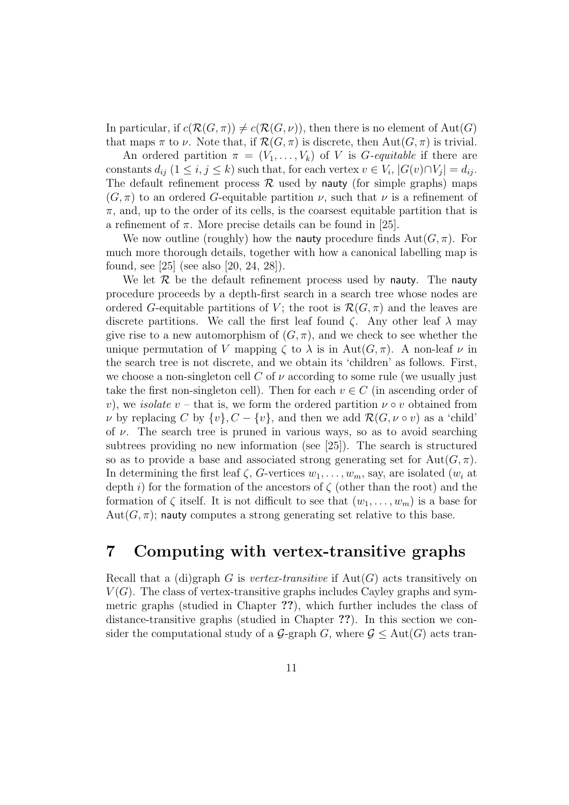In particular, if  $c(\mathcal{R}(G,\pi)) \neq c(\mathcal{R}(G,\nu))$ , then there is no element of Aut(G) that maps  $\pi$  to  $\nu$ . Note that, if  $\mathcal{R}(G, \pi)$  is discrete, then  $\text{Aut}(G, \pi)$  is trivial.

An ordered partition  $\pi = (V_1, \ldots, V_k)$  of V is *G*-equitable if there are constants  $d_{ij}$   $(1 \leq i, j \leq k)$  such that, for each vertex  $v \in V_i$ ,  $|G(v) \cap V_j| = d_{ij}$ . The default refinement process  $\mathcal R$  used by nauty (for simple graphs) maps  $(G, \pi)$  to an ordered G-equitable partition  $\nu$ , such that  $\nu$  is a refinement of  $\pi$ , and, up to the order of its cells, is the coarsest equitable partition that is a refinement of  $\pi$ . More precise details can be found in [25].

We now outline (roughly) how the nauty procedure finds  $Aut(G, \pi)$ . For much more thorough details, together with how a canonical labelling map is found, see [25] (see also [20, 24, 28]).

We let  $\mathcal R$  be the default refinement process used by nauty. The nauty procedure proceeds by a depth-first search in a search tree whose nodes are ordered G-equitable partitions of V; the root is  $\mathcal{R}(G,\pi)$  and the leaves are discrete partitions. We call the first leaf found  $\zeta$ . Any other leaf  $\lambda$  may give rise to a new automorphism of  $(G, \pi)$ , and we check to see whether the unique permutation of V mapping  $\zeta$  to  $\lambda$  is in Aut $(G,\pi)$ . A non-leaf  $\nu$  in the search tree is not discrete, and we obtain its 'children' as follows. First, we choose a non-singleton cell C of  $\nu$  according to some rule (we usually just take the first non-singleton cell). Then for each  $v \in C$  (in ascending order of v), we isolate v – that is, we form the ordered partition  $\nu \circ v$  obtained from v by replacing C by  $\{v\}$ ,  $C - \{v\}$ , and then we add  $\mathcal{R}(G, \nu \circ v)$  as a 'child' of  $\nu$ . The search tree is pruned in various ways, so as to avoid searching subtrees providing no new information (see [25]). The search is structured so as to provide a base and associated strong generating set for  $Aut(G, \pi)$ . In determining the first leaf  $\zeta$ , G-vertices  $w_1, \ldots, w_m$ , say, are isolated  $(w_i$  at depth i) for the formation of the ancestors of  $\zeta$  (other than the root) and the formation of  $\zeta$  itself. It is not difficult to see that  $(w_1, \ldots, w_m)$  is a base for  $Aut(G, \pi)$ ; nauty computes a strong generating set relative to this base.

## 7 Computing with vertex-transitive graphs

Recall that a (di)graph G is vertex-transitive if  $Aut(G)$  acts transitively on  $V(G)$ . The class of vertex-transitive graphs includes Cayley graphs and symmetric graphs (studied in Chapter ??), which further includes the class of distance-transitive graphs (studied in Chapter ??). In this section we consider the computational study of a  $\mathcal{G}$ -graph G, where  $\mathcal{G} \leq \text{Aut}(G)$  acts tran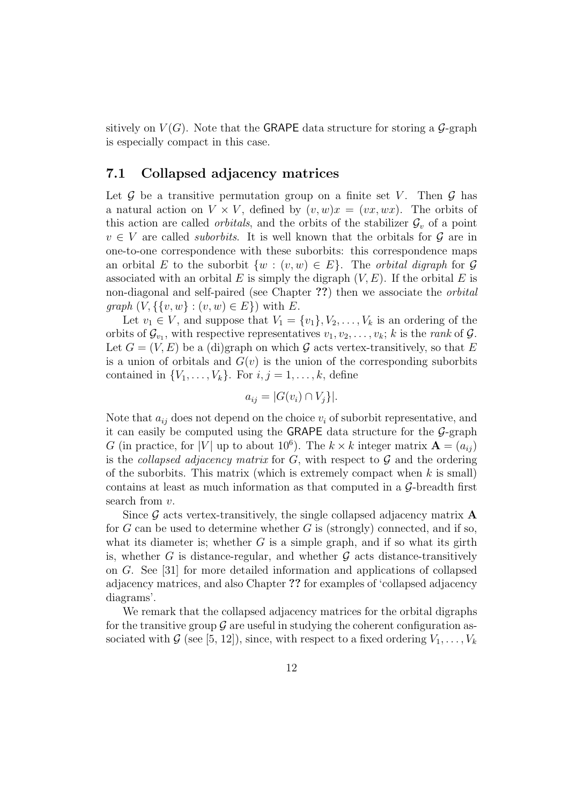sitively on  $V(G)$ . Note that the GRAPE data structure for storing a  $\mathcal{G}$ -graph is especially compact in this case.

### 7.1 Collapsed adjacency matrices

Let  $\mathcal G$  be a transitive permutation group on a finite set V. Then  $\mathcal G$  has a natural action on  $V \times V$ , defined by  $(v, w)x = (vx, wx)$ . The orbits of this action are called *orbitals*, and the orbits of the stabilizer  $\mathcal{G}_v$  of a point  $v \in V$  are called *suborbits*. It is well known that the orbitals for  $\mathcal G$  are in one-to-one correspondence with these suborbits: this correspondence maps an orbital E to the suborbit  $\{w : (v, w) \in E\}$ . The *orbital digraph* for G associated with an orbital E is simply the digraph  $(V, E)$ . If the orbital E is non-diagonal and self-paired (see Chapter ??) then we associate the *orbital graph*  $(V, \{\{v, w\} : (v, w) \in E\})$  with E.

Let  $v_1 \in V$ , and suppose that  $V_1 = \{v_1\}, V_2, \ldots, V_k$  is an ordering of the orbits of  $\mathcal{G}_{v_1}$ , with respective representatives  $v_1, v_2, \ldots, v_k$ ; k is the *rank* of  $\mathcal{G}$ . Let  $G = (V, E)$  be a (di)graph on which G acts vertex-transitively, so that E is a union of orbitals and  $G(v)$  is the union of the corresponding suborbits contained in  $\{V_1, \ldots, V_k\}$ . For  $i, j = 1, \ldots, k$ , define

$$
a_{ij} = |G(v_i) \cap V_j|.
$$

Note that  $a_{ij}$  does not depend on the choice  $v_i$  of suborbit representative, and it can easily be computed using the GRAPE data structure for the  $G$ -graph G (in practice, for |V| up to about 10<sup>6</sup>). The  $k \times k$  integer matrix  $\mathbf{A} = (a_{ij})$ is the *collapsed adjacency matrix* for  $G$ , with respect to  $\mathcal G$  and the ordering of the suborbits. This matrix (which is extremely compact when  $k$  is small) contains at least as much information as that computed in a G-breadth first search from  $v$ .

Since  $\mathcal G$  acts vertex-transitively, the single collapsed adjacency matrix  $\mathbf A$ for  $G$  can be used to determine whether  $G$  is (strongly) connected, and if so, what its diameter is; whether  $G$  is a simple graph, and if so what its girth is, whether G is distance-regular, and whether  $\mathcal G$  acts distance-transitively on G. See [31] for more detailed information and applications of collapsed adjacency matrices, and also Chapter ?? for examples of 'collapsed adjacency diagrams'.

We remark that the collapsed adjacency matrices for the orbital digraphs for the transitive group  $\mathcal G$  are useful in studying the coherent configuration associated with G (see [5, 12]), since, with respect to a fixed ordering  $V_1, \ldots, V_k$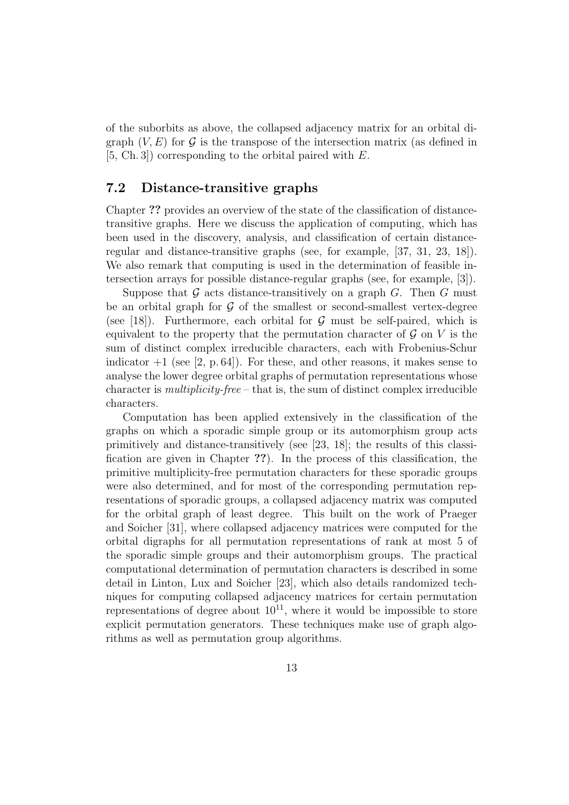of the suborbits as above, the collapsed adjacency matrix for an orbital digraph  $(V, E)$  for G is the transpose of the intersection matrix (as defined in [5, Ch. 3]) corresponding to the orbital paired with E.

### 7.2 Distance-transitive graphs

Chapter ?? provides an overview of the state of the classification of distancetransitive graphs. Here we discuss the application of computing, which has been used in the discovery, analysis, and classification of certain distanceregular and distance-transitive graphs (see, for example, [37, 31, 23, 18]). We also remark that computing is used in the determination of feasible intersection arrays for possible distance-regular graphs (see, for example, [3]).

Suppose that  $G$  acts distance-transitively on a graph  $G$ . Then  $G$  must be an orbital graph for  $\mathcal G$  of the smallest or second-smallest vertex-degree (see [18]). Furthermore, each orbital for  $\mathcal G$  must be self-paired, which is equivalent to the property that the permutation character of  $\mathcal G$  on V is the sum of distinct complex irreducible characters, each with Frobenius-Schur indicator  $+1$  (see [2, p. 64]). For these, and other reasons, it makes sense to analyse the lower degree orbital graphs of permutation representations whose character is multiplicity-free – that is, the sum of distinct complex irreducible characters.

Computation has been applied extensively in the classification of the graphs on which a sporadic simple group or its automorphism group acts primitively and distance-transitively (see [23, 18]; the results of this classification are given in Chapter ??). In the process of this classification, the primitive multiplicity-free permutation characters for these sporadic groups were also determined, and for most of the corresponding permutation representations of sporadic groups, a collapsed adjacency matrix was computed for the orbital graph of least degree. This built on the work of Praeger and Soicher [31], where collapsed adjacency matrices were computed for the orbital digraphs for all permutation representations of rank at most 5 of the sporadic simple groups and their automorphism groups. The practical computational determination of permutation characters is described in some detail in Linton, Lux and Soicher [23], which also details randomized techniques for computing collapsed adjacency matrices for certain permutation representations of degree about  $10^{11}$ , where it would be impossible to store explicit permutation generators. These techniques make use of graph algorithms as well as permutation group algorithms.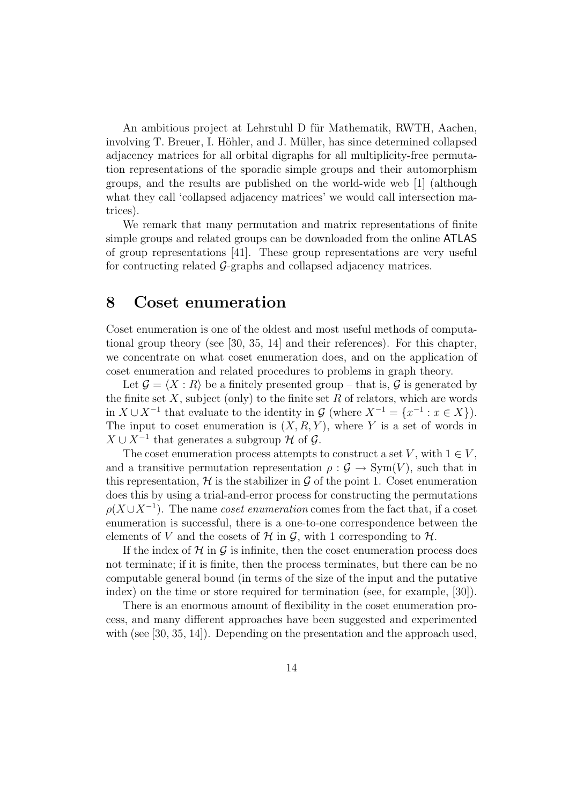An ambitious project at Lehrstuhl D für Mathematik, RWTH, Aachen, involving T. Breuer, I. Höhler, and J. Müller, has since determined collapsed adjacency matrices for all orbital digraphs for all multiplicity-free permutation representations of the sporadic simple groups and their automorphism groups, and the results are published on the world-wide web [1] (although what they call 'collapsed adjacency matrices' we would call intersection matrices).

We remark that many permutation and matrix representations of finite simple groups and related groups can be downloaded from the online ATLAS of group representations [41]. These group representations are very useful for contructing related  $\mathcal{G}$ -graphs and collapsed adjacency matrices.

### 8 Coset enumeration

Coset enumeration is one of the oldest and most useful methods of computational group theory (see [30, 35, 14] and their references). For this chapter, we concentrate on what coset enumeration does, and on the application of coset enumeration and related procedures to problems in graph theory.

Let  $\mathcal{G} = \langle X : R \rangle$  be a finitely presented group – that is,  $\mathcal{G}$  is generated by the finite set  $X$ , subject (only) to the finite set  $R$  of relators, which are words in  $X \cup X^{-1}$  that evaluate to the identity in  $\mathcal{G}$  (where  $X^{-1} = \{x^{-1} : x \in X\}$ ). The input to coset enumeration is  $(X, R, Y)$ , where Y is a set of words in  $X \cup X^{-1}$  that generates a subgroup  $\mathcal H$  of  $\mathcal G$ .

The coset enumeration process attempts to construct a set V, with  $1 \in V$ , and a transitive permutation representation  $\rho : \mathcal{G} \to \text{Sym}(V)$ , such that in this representation,  $\mathcal H$  is the stabilizer in  $\mathcal G$  of the point 1. Coset enumeration does this by using a trial-and-error process for constructing the permutations  $\rho(X \cup X^{-1})$ . The name *coset enumeration* comes from the fact that, if a coset enumeration is successful, there is a one-to-one correspondence between the elements of V and the cosets of H in G, with 1 corresponding to  $H$ .

If the index of  $\mathcal H$  in  $\mathcal G$  is infinite, then the coset enumeration process does not terminate; if it is finite, then the process terminates, but there can be no computable general bound (in terms of the size of the input and the putative index) on the time or store required for termination (see, for example, [30]).

There is an enormous amount of flexibility in the coset enumeration process, and many different approaches have been suggested and experimented with (see [30, 35, 14]). Depending on the presentation and the approach used,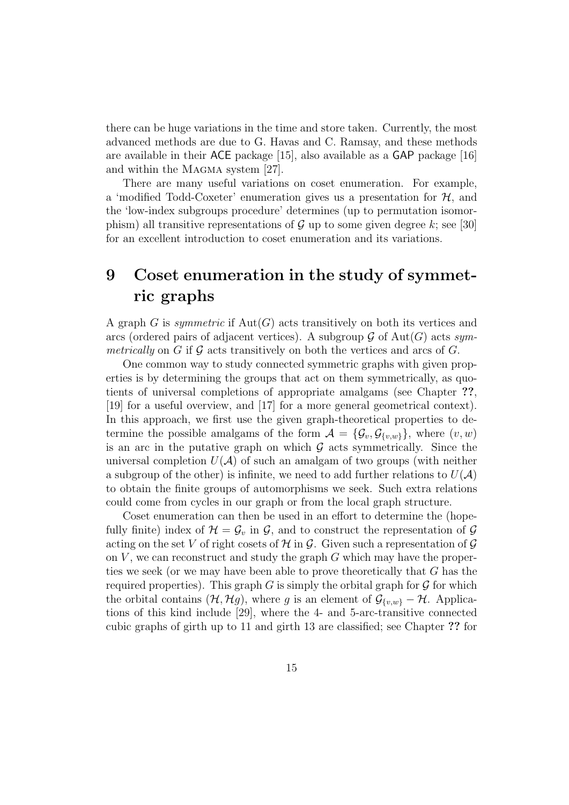there can be huge variations in the time and store taken. Currently, the most advanced methods are due to G. Havas and C. Ramsay, and these methods are available in their ACE package [15], also available as a GAP package [16] and within the MAGMA system [27].

There are many useful variations on coset enumeration. For example, a 'modified Todd-Coxeter' enumeration gives us a presentation for  $H$ , and the 'low-index subgroups procedure' determines (up to permutation isomorphism) all transitive representations of G up to some given degree k; see [30] for an excellent introduction to coset enumeration and its variations.

## 9 Coset enumeration in the study of symmetric graphs

A graph G is symmetric if  $Aut(G)$  acts transitively on both its vertices and arcs (ordered pairs of adjacent vertices). A subgroup  $\mathcal G$  of  $\mathrm{Aut}(G)$  acts symmetrically on G if G acts transitively on both the vertices and arcs of G.

One common way to study connected symmetric graphs with given properties is by determining the groups that act on them symmetrically, as quotients of universal completions of appropriate amalgams (see Chapter ??, [19] for a useful overview, and [17] for a more general geometrical context). In this approach, we first use the given graph-theoretical properties to determine the possible amalgams of the form  $\mathcal{A} = {\mathcal{G}_{v}, \mathcal{G}_{v,w}}$ , where  $(v, w)$ is an arc in the putative graph on which  $\mathcal G$  acts symmetrically. Since the universal completion  $U(\mathcal{A})$  of such an amalgam of two groups (with neither a subgroup of the other) is infinite, we need to add further relations to  $U(\mathcal{A})$ to obtain the finite groups of automorphisms we seek. Such extra relations could come from cycles in our graph or from the local graph structure.

Coset enumeration can then be used in an effort to determine the (hopefully finite) index of  $\mathcal{H} = \mathcal{G}_v$  in  $\mathcal{G}$ , and to construct the representation of  $\mathcal{G}$ acting on the set V of right cosets of  $H$  in  $G$ . Given such a representation of  $G$ on  $V$ , we can reconstruct and study the graph  $G$  which may have the properties we seek (or we may have been able to prove theoretically that G has the required properties). This graph G is simply the orbital graph for  $\mathcal G$  for which the orbital contains  $(\mathcal{H}, \mathcal{H}g)$ , where g is an element of  $\mathcal{G}_{\{v,w\}} - \mathcal{H}$ . Applications of this kind include [29], where the 4- and 5-arc-transitive connected cubic graphs of girth up to 11 and girth 13 are classified; see Chapter ?? for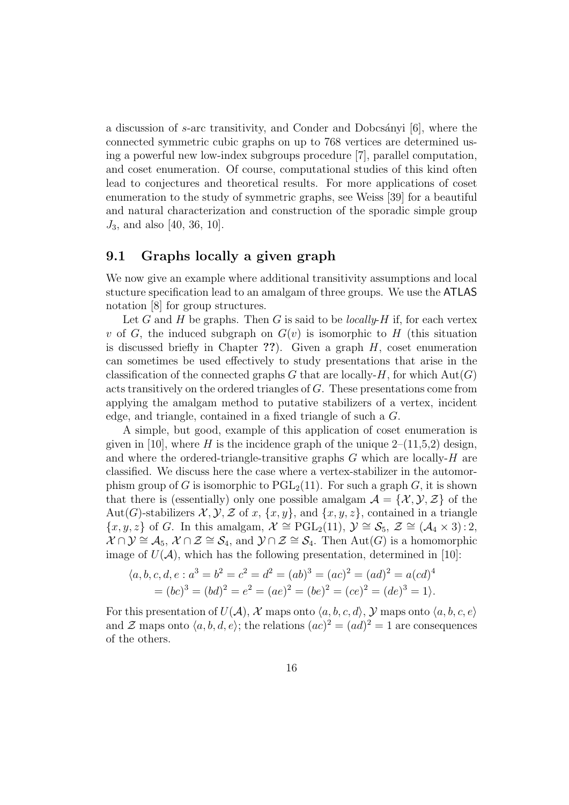a discussion of s-arc transitivity, and Conder and Dobcsányi  $[6]$ , where the connected symmetric cubic graphs on up to 768 vertices are determined using a powerful new low-index subgroups procedure [7], parallel computation, and coset enumeration. Of course, computational studies of this kind often lead to conjectures and theoretical results. For more applications of coset enumeration to the study of symmetric graphs, see Weiss [39] for a beautiful and natural characterization and construction of the sporadic simple group  $J_3$ , and also [40, 36, 10].

### 9.1 Graphs locally a given graph

We now give an example where additional transitivity assumptions and local stucture specification lead to an amalgam of three groups. We use the ATLAS notation [8] for group structures.

Let G and H be graphs. Then G is said to be *locally-H* if, for each vertex v of G, the induced subgraph on  $G(v)$  is isomorphic to H (this situation is discussed briefly in Chapter ??). Given a graph  $H$ , coset enumeration can sometimes be used effectively to study presentations that arise in the classification of the connected graphs G that are locally-H, for which  $Aut(G)$ acts transitively on the ordered triangles of G. These presentations come from applying the amalgam method to putative stabilizers of a vertex, incident edge, and triangle, contained in a fixed triangle of such a G.

A simple, but good, example of this application of coset enumeration is given in [10], where H is the incidence graph of the unique  $2-(11,5,2)$  design, and where the ordered-triangle-transitive graphs  $G$  which are locally- $H$  are classified. We discuss here the case where a vertex-stabilizer in the automorphism group of G is isomorphic to  $PGL_2(11)$ . For such a graph G, it is shown that there is (essentially) only one possible amalgam  $\mathcal{A} = \{ \mathcal{X}, \mathcal{Y}, \mathcal{Z} \}$  of the Aut(G)-stabilizers  $\mathcal{X}, \mathcal{Y}, \mathcal{Z}$  of x,  $\{x, y\}$ , and  $\{x, y, z\}$ , contained in a triangle  $\{x, y, z\}$  of G. In this amalgam,  $\mathcal{X} \cong \text{PGL}_2(11)$ ,  $\mathcal{Y} \cong \mathcal{S}_5$ ,  $\mathcal{Z} \cong (\mathcal{A}_4 \times 3) : 2$ ,  $\mathcal{X} \cap \mathcal{Y} \cong \mathcal{A}_5$ ,  $\mathcal{X} \cap \mathcal{Z} \cong \mathcal{S}_4$ , and  $\mathcal{Y} \cap \mathcal{Z} \cong \mathcal{S}_4$ . Then Aut $(G)$  is a homomorphic image of  $U(\mathcal{A})$ , which has the following presentation, determined in [10]:

$$
\langle a, b, c, d, e : a^3 = b^2 = c^2 = d^2 = (ab)^3 = (ac)^2 = (ad)^2 = a(cd)^4
$$
  
=  $(bc)^3 = (bd)^2 = e^2 = (ae)^2 = (be)^2 = (ce)^2 = (de)^3 = 1$ .

For this presentation of  $U(\mathcal{A}), \mathcal{X}$  maps onto  $\langle a, b, c, d \rangle$ , Y maps onto  $\langle a, b, c, e \rangle$ and  $\mathcal Z$  maps onto  $\langle a, b, d, e \rangle$ ; the relations  $(ac)^2 = (ad)^2 = 1$  are consequences of the others.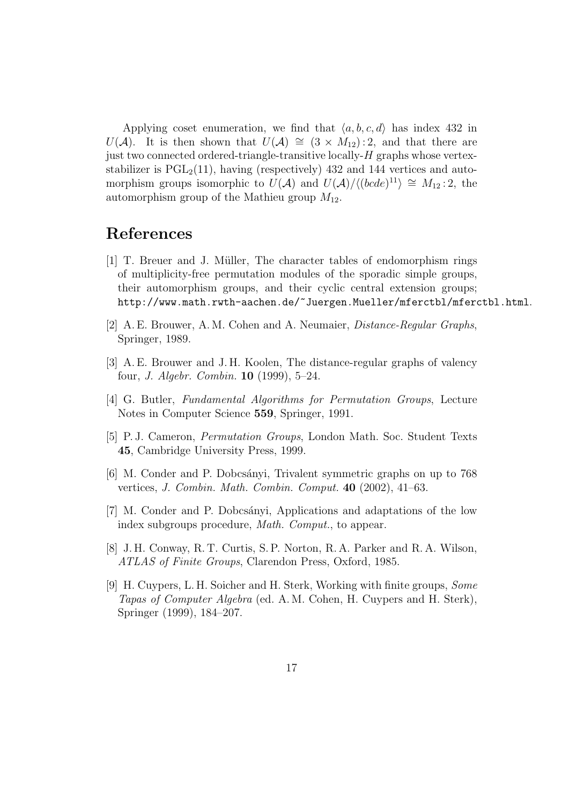Applying coset enumeration, we find that  $\langle a, b, c, d \rangle$  has index 432 in  $U(\mathcal{A})$ . It is then shown that  $U(\mathcal{A}) \cong (3 \times M_{12}) : 2$ , and that there are just two connected ordered-triangle-transitive locally-H graphs whose vertexstabilizer is  $PGL<sub>2</sub>(11)$ , having (respectively) 432 and 144 vertices and automorphism groups isomorphic to  $U(A)$  and  $U(A)/\langle (bcde)^{11} \rangle \cong M_{12} : 2$ , the automorphism group of the Mathieu group  $M_{12}$ .

## References

- [1] T. Breuer and J. Müller, The character tables of endomorphism rings of multiplicity-free permutation modules of the sporadic simple groups, their automorphism groups, and their cyclic central extension groups; http://www.math.rwth-aachen.de/~Juergen.Mueller/mferctbl/mferctbl.html.
- [2] A. E. Brouwer, A. M. Cohen and A. Neumaier, Distance-Regular Graphs, Springer, 1989.
- [3] A. E. Brouwer and J. H. Koolen, The distance-regular graphs of valency four, J. Algebr. Combin. 10 (1999), 5–24.
- [4] G. Butler, Fundamental Algorithms for Permutation Groups, Lecture Notes in Computer Science 559, Springer, 1991.
- [5] P. J. Cameron, Permutation Groups, London Math. Soc. Student Texts 45, Cambridge University Press, 1999.
- [6] M. Conder and P. Dobcs´anyi, Trivalent symmetric graphs on up to 768 vertices, J. Combin. Math. Combin. Comput. 40 (2002), 41–63.
- [7] M. Conder and P. Dobcs´anyi, Applications and adaptations of the low index subgroups procedure, Math. Comput., to appear.
- [8] J. H. Conway, R. T. Curtis, S. P. Norton, R. A. Parker and R. A. Wilson, ATLAS of Finite Groups, Clarendon Press, Oxford, 1985.
- [9] H. Cuypers, L. H. Soicher and H. Sterk, Working with finite groups, Some Tapas of Computer Algebra (ed. A. M. Cohen, H. Cuypers and H. Sterk), Springer (1999), 184–207.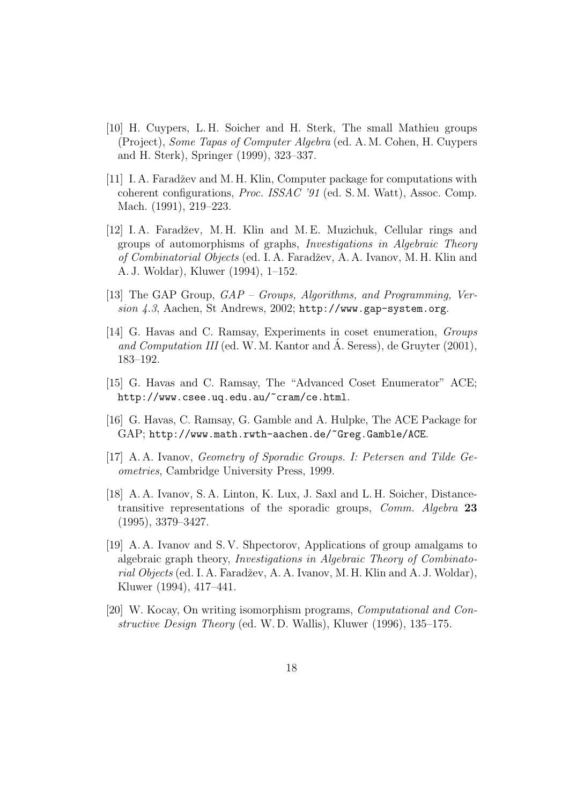- [10] H. Cuypers, L. H. Soicher and H. Sterk, The small Mathieu groups (Project), Some Tapas of Computer Algebra (ed. A. M. Cohen, H. Cuypers and H. Sterk), Springer (1999), 323–337.
- [11] I. A. Faradžev and M. H. Klin, Computer package for computations with coherent configurations, Proc. ISSAC '91 (ed. S. M. Watt), Assoc. Comp. Mach. (1991), 219–223.
- [12] I.A. Faradžev, M.H. Klin and M.E. Muzichuk, Cellular rings and groups of automorphisms of graphs, Investigations in Algebraic Theory of Combinatorial Objects (ed. I. A. Faradˇzev, A. A. Ivanov, M. H. Klin and A. J. Woldar), Kluwer (1994), 1–152.
- [13] The GAP Group, GAP Groups, Algorithms, and Programming, Version 4.3, Aachen, St Andrews, 2002; http://www.gap-system.org.
- [14] G. Havas and C. Ramsay, Experiments in coset enumeration, Groups and Computation III (ed. W. M. Kantor and  $\AA$ . Seress), de Gruyter (2001), 183–192.
- [15] G. Havas and C. Ramsay, The "Advanced Coset Enumerator" ACE; http://www.csee.uq.edu.au/~cram/ce.html.
- [16] G. Havas, C. Ramsay, G. Gamble and A. Hulpke, The ACE Package for GAP; http://www.math.rwth-aachen.de/~Greg.Gamble/ACE.
- [17] A. A. Ivanov, Geometry of Sporadic Groups. I: Petersen and Tilde Geometries, Cambridge University Press, 1999.
- [18] A. A. Ivanov, S. A. Linton, K. Lux, J. Saxl and L. H. Soicher, Distancetransitive representations of the sporadic groups, Comm. Algebra 23 (1995), 3379–3427.
- [19] A. A. Ivanov and S. V. Shpectorov, Applications of group amalgams to algebraic graph theory, Investigations in Algebraic Theory of Combinatorial Objects (ed. I. A. Faradžev, A. A. Ivanov, M. H. Klin and A. J. Woldar), Kluwer (1994), 417–441.
- [20] W. Kocay, On writing isomorphism programs, Computational and Constructive Design Theory (ed. W. D. Wallis), Kluwer (1996), 135–175.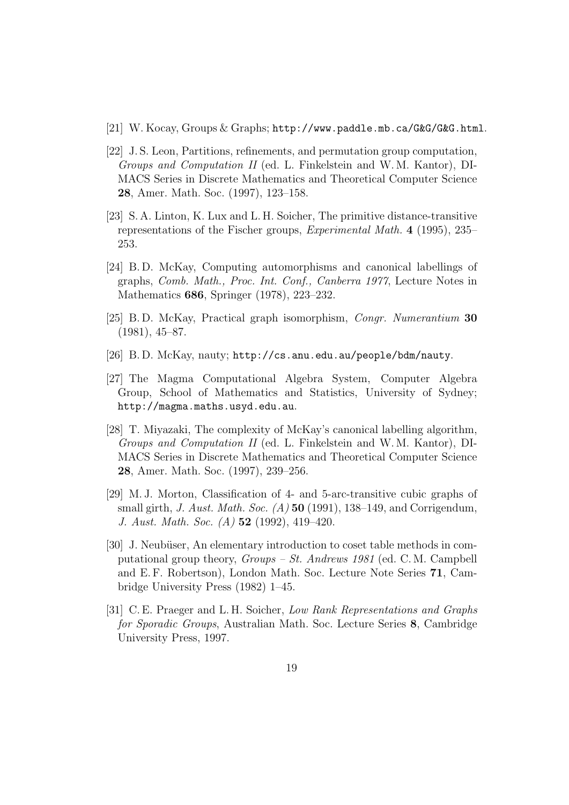- $[21]$  W. Kocay, Groups & Graphs; http://www.paddle.mb.ca/G&G/G&G.html.
- [22] J. S. Leon, Partitions, refinements, and permutation group computation, Groups and Computation II (ed. L. Finkelstein and W. M. Kantor), DI-MACS Series in Discrete Mathematics and Theoretical Computer Science 28, Amer. Math. Soc. (1997), 123–158.
- [23] S. A. Linton, K. Lux and L. H. Soicher, The primitive distance-transitive representations of the Fischer groups, Experimental Math. 4 (1995), 235– 253.
- [24] B. D. McKay, Computing automorphisms and canonical labellings of graphs, Comb. Math., Proc. Int. Conf., Canberra 1977, Lecture Notes in Mathematics 686, Springer (1978), 223–232.
- [25] B. D. McKay, Practical graph isomorphism, Congr. Numerantium 30 (1981), 45–87.
- [26] B. D. McKay, nauty; http://cs.anu.edu.au/people/bdm/nauty.
- [27] The Magma Computational Algebra System, Computer Algebra Group, School of Mathematics and Statistics, University of Sydney; http://magma.maths.usyd.edu.au.
- [28] T. Miyazaki, The complexity of McKay's canonical labelling algorithm, Groups and Computation II (ed. L. Finkelstein and W. M. Kantor), DI-MACS Series in Discrete Mathematics and Theoretical Computer Science 28, Amer. Math. Soc. (1997), 239–256.
- [29] M. J. Morton, Classification of 4- and 5-arc-transitive cubic graphs of small girth, *J. Aust. Math. Soc.*  $(A)$  50 (1991), 138–149, and Corrigendum, J. Aust. Math. Soc. (A) 52 (1992), 419–420.
- [30] J. Neubüser, An elementary introduction to coset table methods in computational group theory, Groups – St. Andrews 1981 (ed. C. M. Campbell and E. F. Robertson), London Math. Soc. Lecture Note Series 71, Cambridge University Press (1982) 1–45.
- [31] C. E. Praeger and L. H. Soicher, Low Rank Representations and Graphs for Sporadic Groups, Australian Math. Soc. Lecture Series 8, Cambridge University Press, 1997.